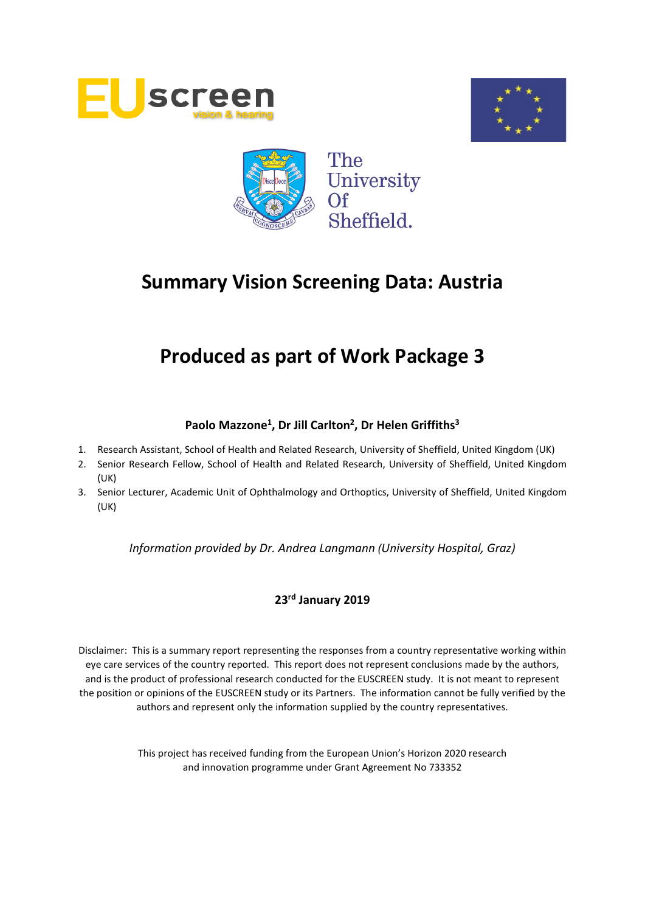





# **Produced as part of Work Package 3**

# **Paolo Mazzone1, Dr Jill Carlton2, Dr Helen Griffiths3**

- 1. Research Assistant, School of Health and Related Research, University of Sheffield, United Kingdom (UK)
- 2. Senior Research Fellow, School of Health and Related Research, University of Sheffield, United Kingdom (UK)
- 3. Senior Lecturer, Academic Unit of Ophthalmology and Orthoptics, University of Sheffield, United Kingdom (UK)

*Information provided by Dr. Andrea Langmann (University Hospital, Graz)*

## **23rd January 2019**

Disclaimer: This is a summary report representing the responses from a country representative working within eye care services of the country reported. This report does not represent conclusions made by the authors, and is the product of professional research conducted for the EUSCREEN study. It is not meant to represent the position or opinions of the EUSCREEN study or its Partners. The information cannot be fully verified by the authors and represent only the information supplied by the country representatives.

> This project has received funding from the European Union's Horizon 2020 research and innovation programme under Grant Agreement No 733352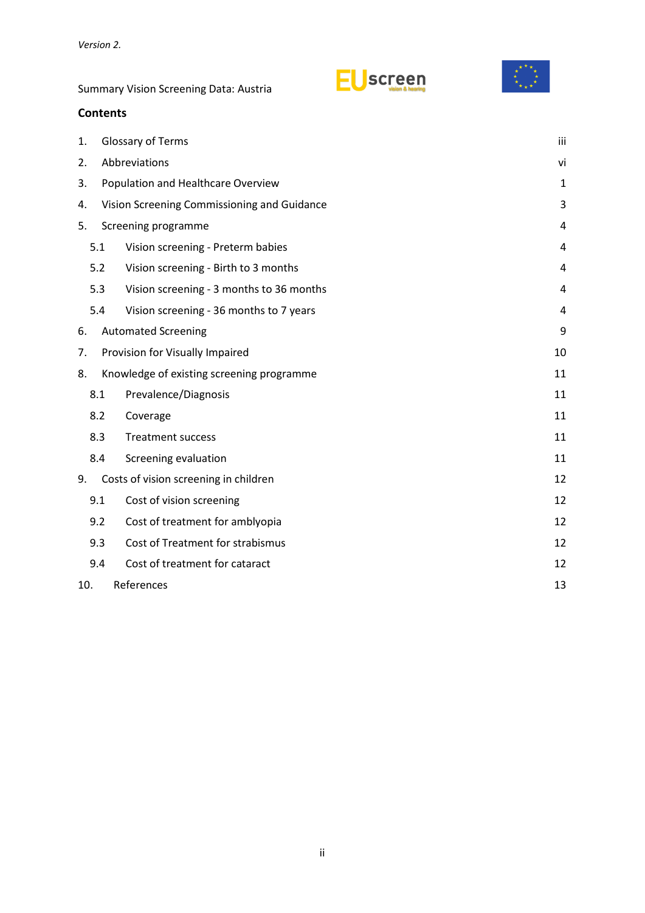screen



**Contents** 1. [Glossary of Terms](#page-2-0) iii 2. [Abbreviations](#page-5-0) vi 3. [Population and Healthcare Overview](#page-6-0) 1 4. [Vision Screening Commissioning and Guidance](#page-8-0) 3 and 3 3 5. [Screening programme](#page-9-0) 4 5.1 [Vision screening -](#page-9-1) Preterm babies 4 5.2 [Vision screening -](#page-9-2) Birth to 3 months 4 5.3 Vision screening - [3 months to 36 months](#page-9-3) 4 5.4 Vision screening - [36 months to 7 years](#page-9-4) 4 6. [Automated Screening](#page-14-0) extensive states and the set of the set of the set of the set of the set of the set of the set of the set of the set of the set of the set of the set of the set of the set of the set of the set of th 7. [Provision for Visually Impaired](#page-15-0) 10 8. [Knowledge of existing screening programme](#page-16-0) 11 8.1 [Prevalence/Diagnosis](#page-16-1) 11 8.2 [Coverage](#page-16-2) 2012 and 2012 and 2012 and 2012 and 2012 and 2012 and 2012 and 2012 and 2012 and 2012 and 2013 and 201 8.3 [Treatment success](#page-16-3) 11 8.4 [Screening evaluation](#page-16-4) 11 9. [Costs of vision screening in children](#page-17-0) 12 and 12 9.1 [Cost of vision screening](#page-17-1) 12 9.2 [Cost of treatment for amblyopia](#page-17-2) 12 9.3 [Cost of Treatment for strabismus](#page-17-3) 12 9.4 [Cost of treatment for cataract](#page-17-4) 12

10. [References](#page-18-0) 213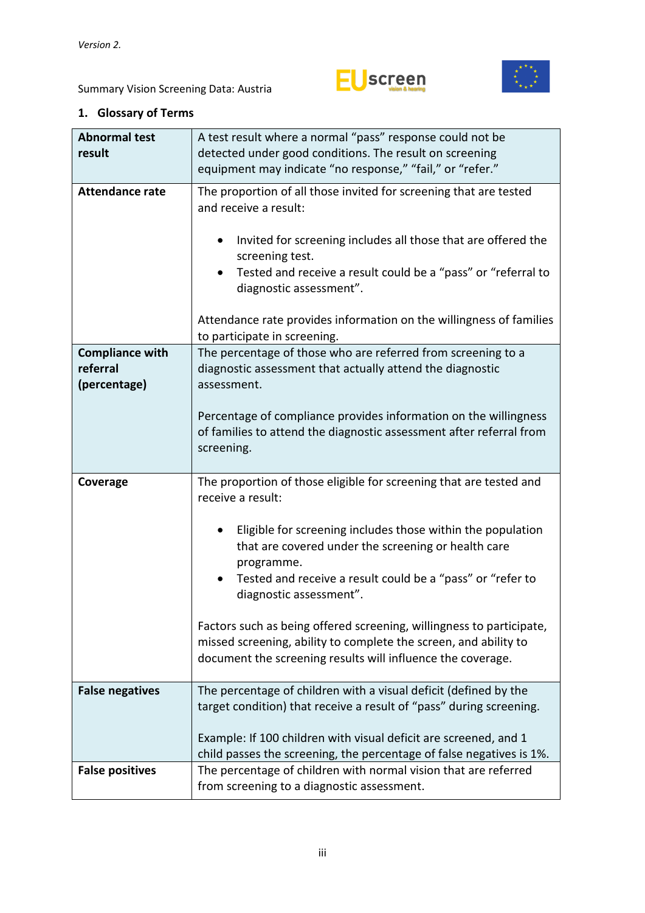



| <b>Abnormal test</b><br>result                     | A test result where a normal "pass" response could not be<br>detected under good conditions. The result on screening                                                                                                      |  |  |  |  |  |  |
|----------------------------------------------------|---------------------------------------------------------------------------------------------------------------------------------------------------------------------------------------------------------------------------|--|--|--|--|--|--|
|                                                    | equipment may indicate "no response," "fail," or "refer."                                                                                                                                                                 |  |  |  |  |  |  |
| <b>Attendance rate</b>                             | The proportion of all those invited for screening that are tested<br>and receive a result:<br>Invited for screening includes all those that are offered the                                                               |  |  |  |  |  |  |
|                                                    | screening test.<br>Tested and receive a result could be a "pass" or "referral to<br>diagnostic assessment".                                                                                                               |  |  |  |  |  |  |
|                                                    | Attendance rate provides information on the willingness of families<br>to participate in screening.                                                                                                                       |  |  |  |  |  |  |
| <b>Compliance with</b><br>referral<br>(percentage) | The percentage of those who are referred from screening to a<br>diagnostic assessment that actually attend the diagnostic<br>assessment.                                                                                  |  |  |  |  |  |  |
|                                                    | Percentage of compliance provides information on the willingness<br>of families to attend the diagnostic assessment after referral from<br>screening.                                                                     |  |  |  |  |  |  |
|                                                    |                                                                                                                                                                                                                           |  |  |  |  |  |  |
| Coverage                                           | The proportion of those eligible for screening that are tested and<br>receive a result:                                                                                                                                   |  |  |  |  |  |  |
|                                                    | Eligible for screening includes those within the population<br>that are covered under the screening or health care<br>programme.<br>Tested and receive a result could be a "pass" or "refer to<br>diagnostic assessment". |  |  |  |  |  |  |
|                                                    | Factors such as being offered screening, willingness to participate,<br>missed screening, ability to complete the screen, and ability to<br>document the screening results will influence the coverage.                   |  |  |  |  |  |  |
| <b>False negatives</b>                             | The percentage of children with a visual deficit (defined by the<br>target condition) that receive a result of "pass" during screening.                                                                                   |  |  |  |  |  |  |
|                                                    | Example: If 100 children with visual deficit are screened, and 1<br>child passes the screening, the percentage of false negatives is 1%.                                                                                  |  |  |  |  |  |  |

# <span id="page-2-0"></span>**1. Glossary of Terms**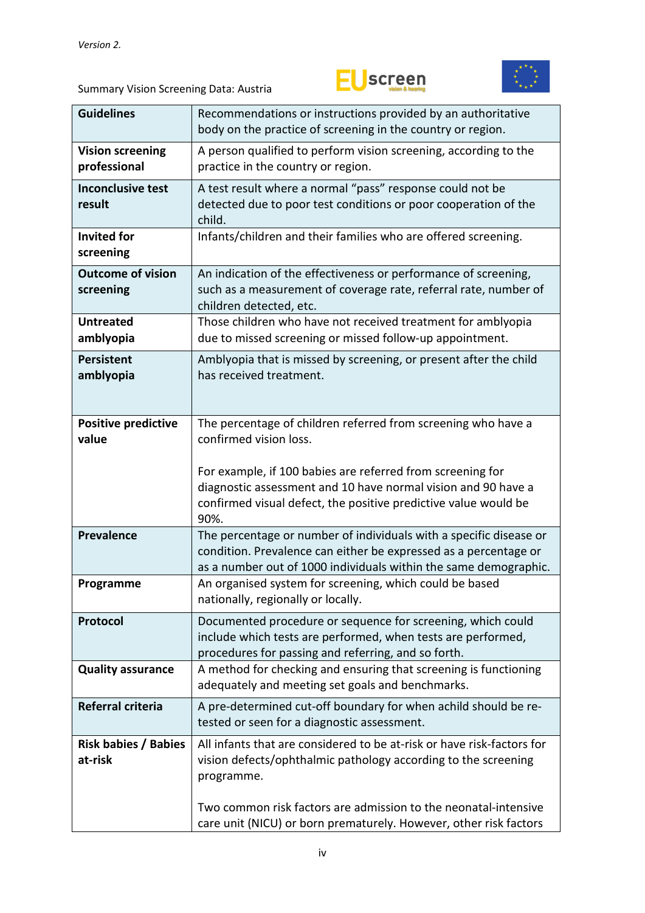



| <b>Guidelines</b>                       | Recommendations or instructions provided by an authoritative<br>body on the practice of screening in the country or region.                                                                                |  |  |  |  |  |
|-----------------------------------------|------------------------------------------------------------------------------------------------------------------------------------------------------------------------------------------------------------|--|--|--|--|--|
| <b>Vision screening</b><br>professional | A person qualified to perform vision screening, according to the<br>practice in the country or region.                                                                                                     |  |  |  |  |  |
| <b>Inconclusive test</b><br>result      | A test result where a normal "pass" response could not be<br>detected due to poor test conditions or poor cooperation of the<br>child.                                                                     |  |  |  |  |  |
| <b>Invited for</b><br>screening         | Infants/children and their families who are offered screening.                                                                                                                                             |  |  |  |  |  |
| <b>Outcome of vision</b><br>screening   | An indication of the effectiveness or performance of screening,<br>such as a measurement of coverage rate, referral rate, number of<br>children detected, etc.                                             |  |  |  |  |  |
| <b>Untreated</b><br>amblyopia           | Those children who have not received treatment for amblyopia<br>due to missed screening or missed follow-up appointment.                                                                                   |  |  |  |  |  |
| <b>Persistent</b><br>amblyopia          | Amblyopia that is missed by screening, or present after the child<br>has received treatment.                                                                                                               |  |  |  |  |  |
| <b>Positive predictive</b><br>value     | The percentage of children referred from screening who have a<br>confirmed vision loss.                                                                                                                    |  |  |  |  |  |
|                                         | For example, if 100 babies are referred from screening for<br>diagnostic assessment and 10 have normal vision and 90 have a<br>confirmed visual defect, the positive predictive value would be<br>90%.     |  |  |  |  |  |
| <b>Prevalence</b>                       | The percentage or number of individuals with a specific disease or<br>condition. Prevalence can either be expressed as a percentage or<br>as a number out of 1000 individuals within the same demographic. |  |  |  |  |  |
| Programme                               | An organised system for screening, which could be based<br>nationally, regionally or locally.                                                                                                              |  |  |  |  |  |
| Protocol                                | Documented procedure or sequence for screening, which could<br>include which tests are performed, when tests are performed,<br>procedures for passing and referring, and so forth.                         |  |  |  |  |  |
| <b>Quality assurance</b>                | A method for checking and ensuring that screening is functioning<br>adequately and meeting set goals and benchmarks.                                                                                       |  |  |  |  |  |
| Referral criteria                       | A pre-determined cut-off boundary for when achild should be re-<br>tested or seen for a diagnostic assessment.                                                                                             |  |  |  |  |  |
| <b>Risk babies / Babies</b><br>at-risk  | All infants that are considered to be at-risk or have risk-factors for<br>vision defects/ophthalmic pathology according to the screening<br>programme.                                                     |  |  |  |  |  |
|                                         | Two common risk factors are admission to the neonatal-intensive<br>care unit (NICU) or born prematurely. However, other risk factors                                                                       |  |  |  |  |  |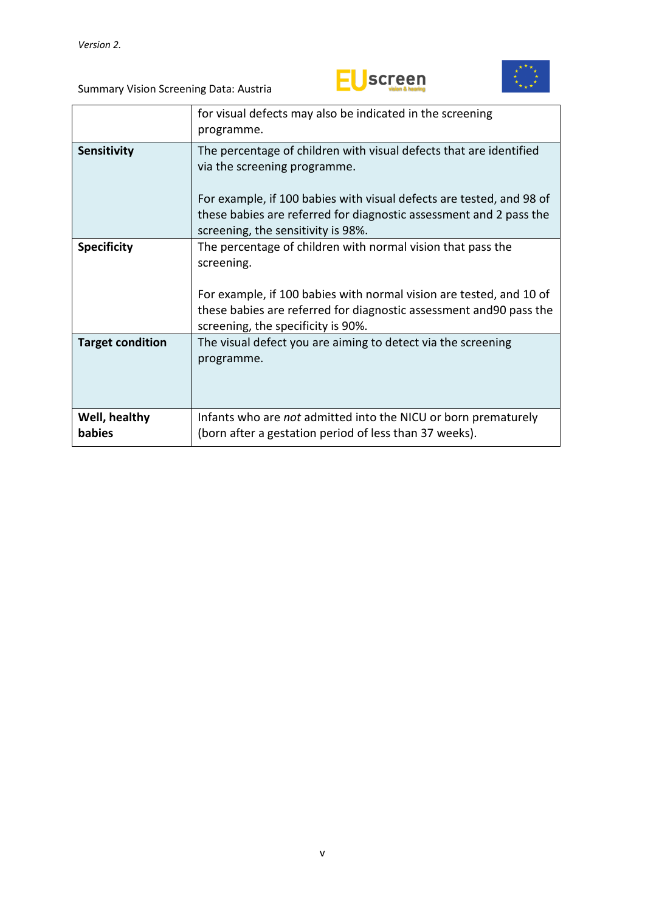



|                         | for visual defects may also be indicated in the screening<br>programme.                                                                                                          |
|-------------------------|----------------------------------------------------------------------------------------------------------------------------------------------------------------------------------|
| Sensitivity             | The percentage of children with visual defects that are identified<br>via the screening programme.                                                                               |
|                         | For example, if 100 babies with visual defects are tested, and 98 of<br>these babies are referred for diagnostic assessment and 2 pass the<br>screening, the sensitivity is 98%. |
| <b>Specificity</b>      | The percentage of children with normal vision that pass the<br>screening.                                                                                                        |
|                         | For example, if 100 babies with normal vision are tested, and 10 of<br>these babies are referred for diagnostic assessment and 90 pass the<br>screening, the specificity is 90%. |
| <b>Target condition</b> | The visual defect you are aiming to detect via the screening<br>programme.                                                                                                       |
| Well, healthy<br>babies | Infants who are <i>not</i> admitted into the NICU or born prematurely                                                                                                            |
|                         | (born after a gestation period of less than 37 weeks).                                                                                                                           |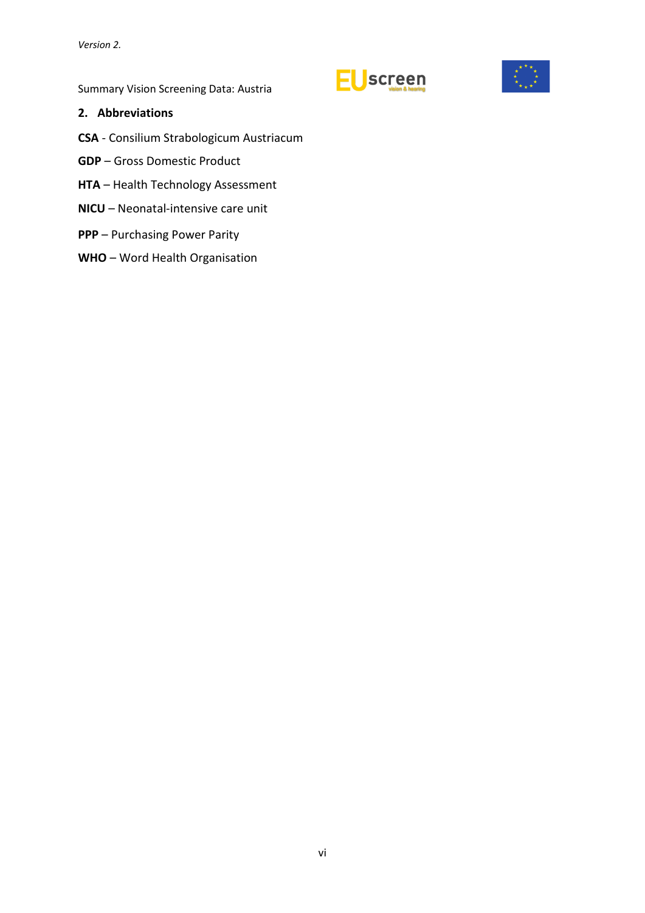EUscreen



Summary Vision Screening Data: Austria

#### <span id="page-5-0"></span>**2. Abbreviations**

- **CSA** Consilium Strabologicum Austriacum
- **GDP** Gross Domestic Product
- **HTA** Health Technology Assessment
- **NICU** Neonatal-intensive care unit
- **PPP** Purchasing Power Parity
- **WHO** Word Health Organisation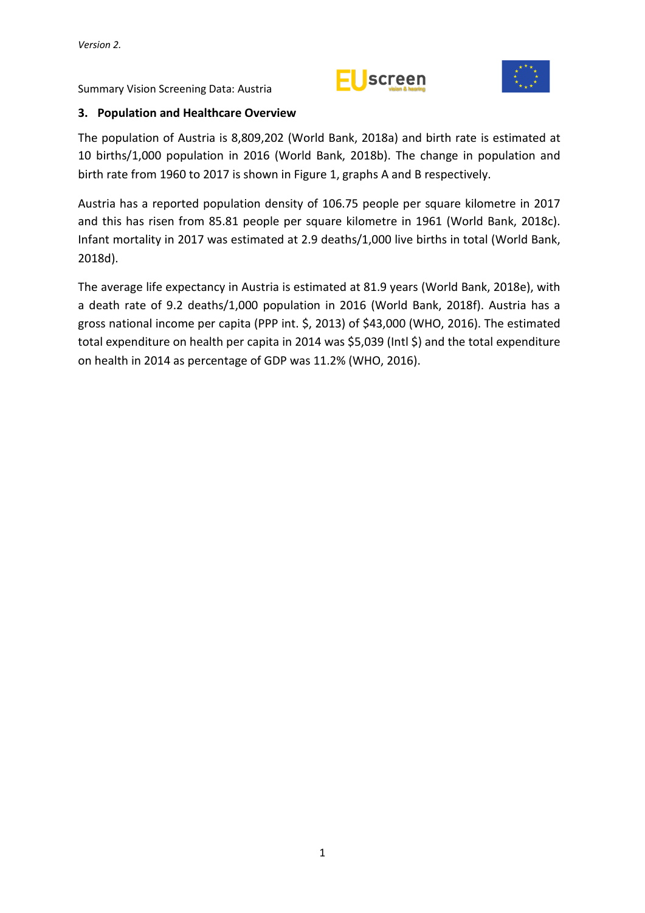



#### <span id="page-6-0"></span>**3. Population and Healthcare Overview**

The population of Austria is 8,809,202 (World Bank, 2018a) and birth rate is estimated at 10 births/1,000 population in 2016 (World Bank, 2018b). The change in population and birth rate from 1960 to 2017 is shown in Figure 1, graphs A and B respectively.

Austria has a reported population density of 106.75 people per square kilometre in 2017 and this has risen from 85.81 people per square kilometre in 1961 (World Bank, 2018c). Infant mortality in 2017 was estimated at 2.9 deaths/1,000 live births in total (World Bank, 2018d).

The average life expectancy in Austria is estimated at 81.9 years (World Bank, 2018e), with a death rate of 9.2 deaths/1,000 population in 2016 (World Bank, 2018f). Austria has a gross national income per capita (PPP int. \$, 2013) of \$43,000 (WHO, 2016). The estimated total expenditure on health per capita in 2014 was \$5,039 (Intl \$) and the total expenditure on health in 2014 as percentage of GDP was 11.2% (WHO, 2016).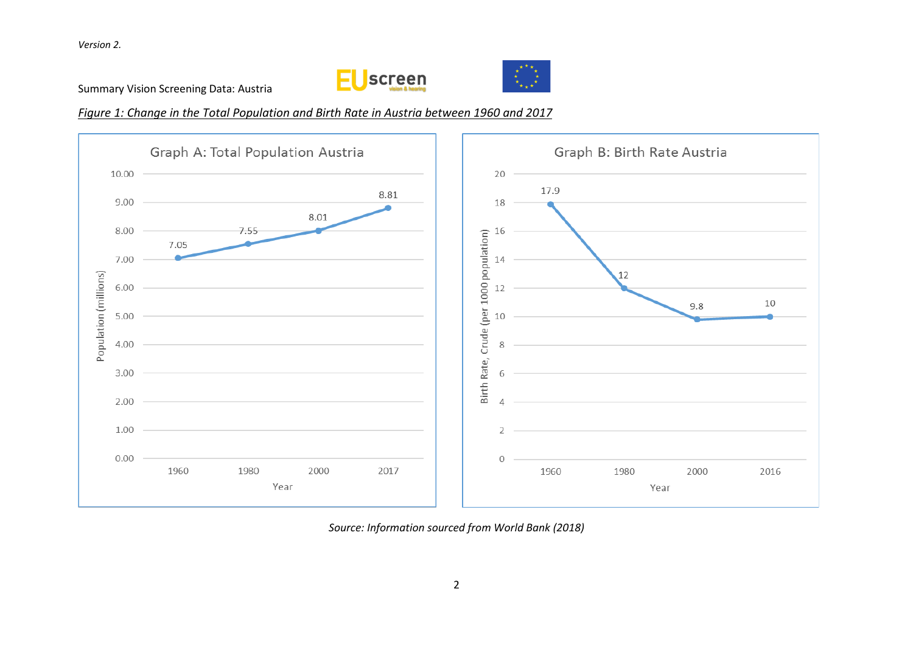



*Figure 1: Change in the Total Population and Birth Rate in Austria between 1960 and 2017*



*Source: Information sourced from World Bank (2018)*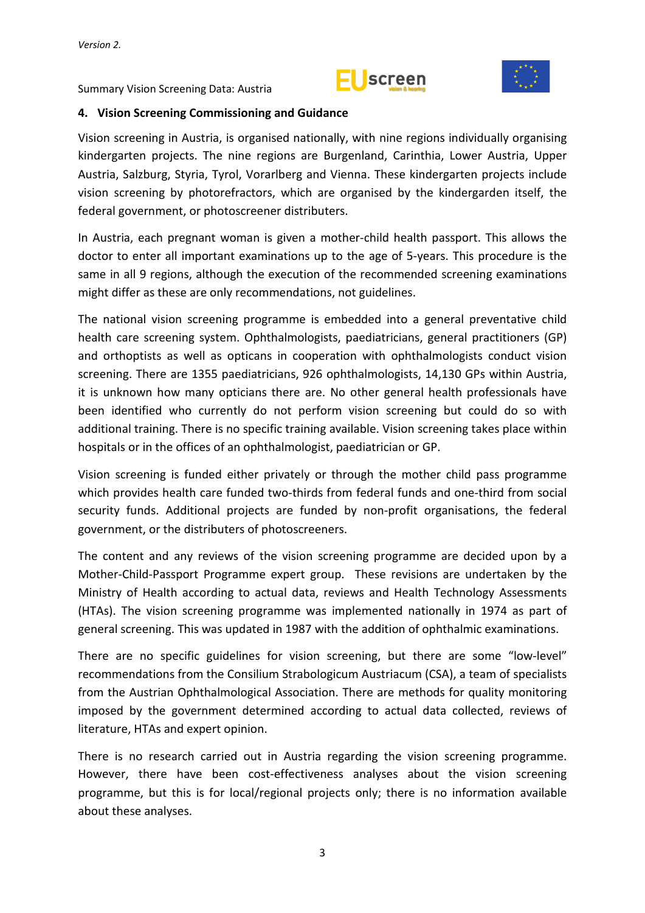



#### <span id="page-8-0"></span>**4. Vision Screening Commissioning and Guidance**

Vision screening in Austria, is organised nationally, with nine regions individually organising kindergarten projects. The nine regions are Burgenland, Carinthia, Lower Austria, Upper Austria, Salzburg, Styria, Tyrol, Vorarlberg and Vienna. These kindergarten projects include vision screening by photorefractors, which are organised by the kindergarden itself, the federal government, or photoscreener distributers.

In Austria, each pregnant woman is given a mother-child health passport. This allows the doctor to enter all important examinations up to the age of 5-years. This procedure is the same in all 9 regions, although the execution of the recommended screening examinations might differ as these are only recommendations, not guidelines.

The national vision screening programme is embedded into a general preventative child health care screening system. Ophthalmologists, paediatricians, general practitioners (GP) and orthoptists as well as opticans in cooperation with ophthalmologists conduct vision screening. There are 1355 paediatricians, 926 ophthalmologists, 14,130 GPs within Austria, it is unknown how many opticians there are. No other general health professionals have been identified who currently do not perform vision screening but could do so with additional training. There is no specific training available. Vision screening takes place within hospitals or in the offices of an ophthalmologist, paediatrician or GP.

Vision screening is funded either privately or through the mother child pass programme which provides health care funded two-thirds from federal funds and one-third from social security funds. Additional projects are funded by non-profit organisations, the federal government, or the distributers of photoscreeners.

The content and any reviews of the vision screening programme are decided upon by a Mother-Child-Passport Programme expert group. These revisions are undertaken by the Ministry of Health according to actual data, reviews and Health Technology Assessments (HTAs). The vision screening programme was implemented nationally in 1974 as part of general screening. This was updated in 1987 with the addition of ophthalmic examinations.

There are no specific guidelines for vision screening, but there are some "low-level" recommendations from the Consilium Strabologicum Austriacum (CSA), a team of specialists from the Austrian Ophthalmological Association. There are methods for quality monitoring imposed by the government determined according to actual data collected, reviews of literature, HTAs and expert opinion.

There is no research carried out in Austria regarding the vision screening programme. However, there have been cost-effectiveness analyses about the vision screening programme, but this is for local/regional projects only; there is no information available about these analyses.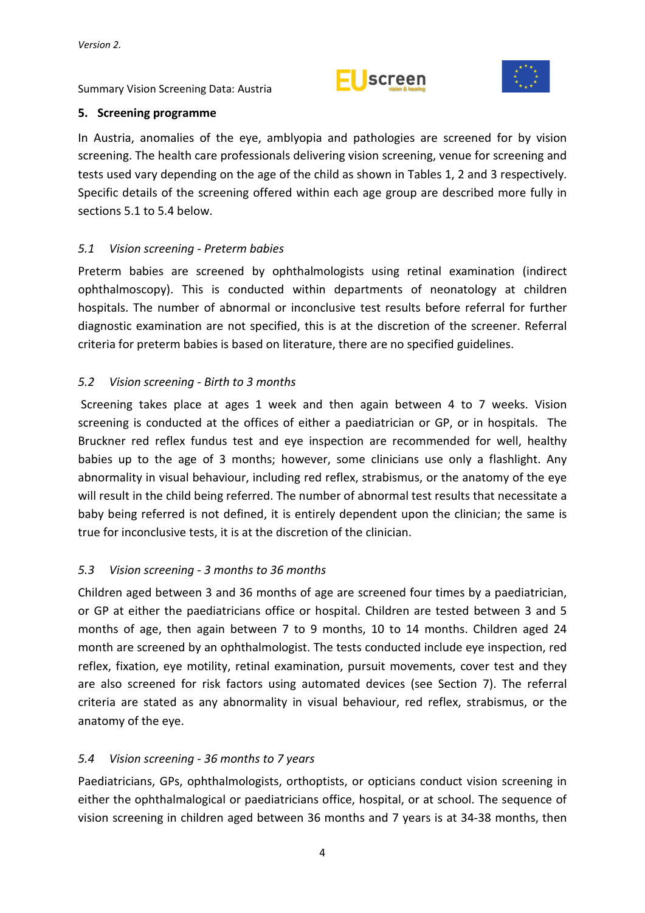



#### <span id="page-9-0"></span>**5. Screening programme**

In Austria, anomalies of the eye, amblyopia and pathologies are screened for by vision screening. The health care professionals delivering vision screening, venue for screening and tests used vary depending on the age of the child as shown in Tables 1, 2 and 3 respectively. Specific details of the screening offered within each age group are described more fully in sections 5.1 to 5.4 below.

## <span id="page-9-1"></span>*5.1 Vision screening - Preterm babies*

Preterm babies are screened by ophthalmologists using retinal examination (indirect ophthalmoscopy). This is conducted within departments of neonatology at children hospitals. The number of abnormal or inconclusive test results before referral for further diagnostic examination are not specified, this is at the discretion of the screener. Referral criteria for preterm babies is based on literature, there are no specified guidelines.

# <span id="page-9-2"></span>*5.2 Vision screening - Birth to 3 months*

Screening takes place at ages 1 week and then again between 4 to 7 weeks. Vision screening is conducted at the offices of either a paediatrician or GP, or in hospitals. The Bruckner red reflex fundus test and eye inspection are recommended for well, healthy babies up to the age of 3 months; however, some clinicians use only a flashlight. Any abnormality in visual behaviour, including red reflex, strabismus, or the anatomy of the eye will result in the child being referred. The number of abnormal test results that necessitate a baby being referred is not defined, it is entirely dependent upon the clinician; the same is true for inconclusive tests, it is at the discretion of the clinician.

## <span id="page-9-3"></span>*5.3 Vision screening - 3 months to 36 months*

Children aged between 3 and 36 months of age are screened four times by a paediatrician, or GP at either the paediatricians office or hospital. Children are tested between 3 and 5 months of age, then again between 7 to 9 months, 10 to 14 months. Children aged 24 month are screened by an ophthalmologist. The tests conducted include eye inspection, red reflex, fixation, eye motility, retinal examination, pursuit movements, cover test and they are also screened for risk factors using automated devices (see Section 7). The referral criteria are stated as any abnormality in visual behaviour, red reflex, strabismus, or the anatomy of the eye.

## <span id="page-9-4"></span>*5.4 Vision screening - 36 months to 7 years*

Paediatricians, GPs, ophthalmologists, orthoptists, or opticians conduct vision screening in either the ophthalmalogical or paediatricians office, hospital, or at school. The sequence of vision screening in children aged between 36 months and 7 years is at 34-38 months, then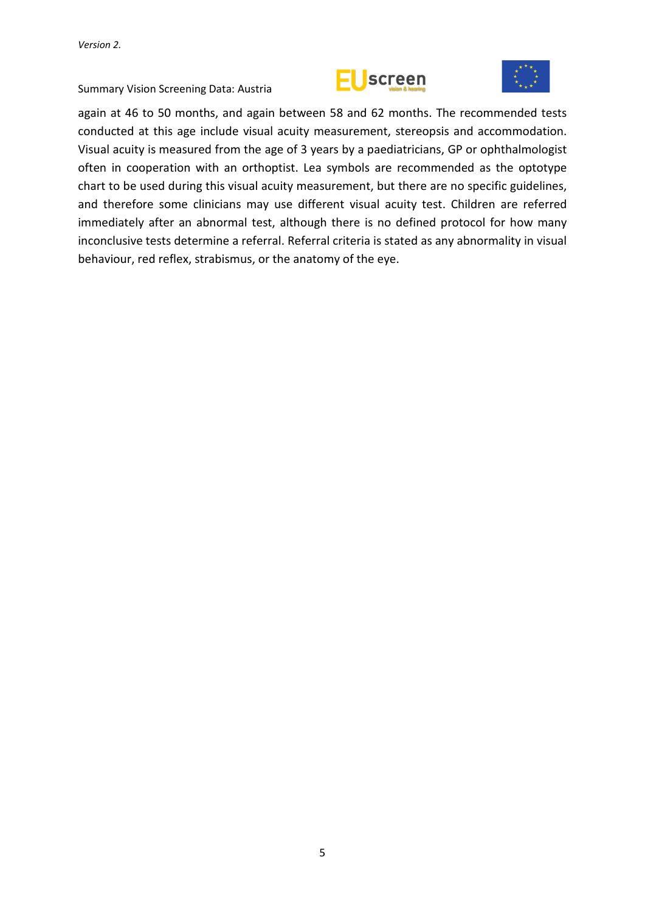



again at 46 to 50 months, and again between 58 and 62 months. The recommended tests conducted at this age include visual acuity measurement, stereopsis and accommodation. Visual acuity is measured from the age of 3 years by a paediatricians, GP or ophthalmologist often in cooperation with an orthoptist. Lea symbols are recommended as the optotype chart to be used during this visual acuity measurement, but there are no specific guidelines, and therefore some clinicians may use different visual acuity test. Children are referred immediately after an abnormal test, although there is no defined protocol for how many inconclusive tests determine a referral. Referral criteria is stated as any abnormality in visual behaviour, red reflex, strabismus, or the anatomy of the eye.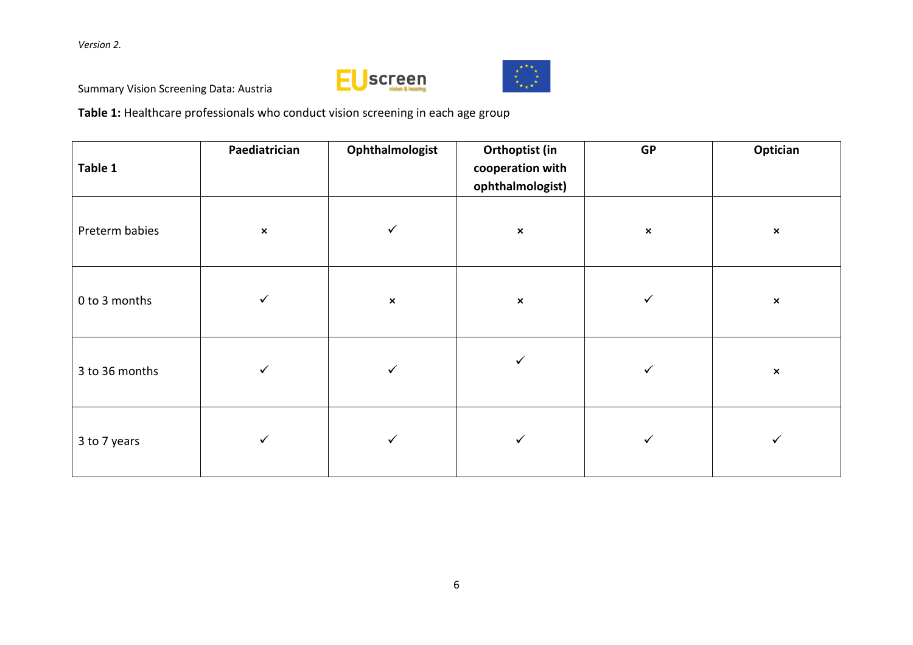*Version 2.*





Summary Vision Screening Data: Austria

**Table 1:** Healthcare professionals who conduct vision screening in each age group

| Table 1        | Paediatrician             | Ophthalmologist | Orthoptist (in<br>cooperation with<br>ophthalmologist) | <b>GP</b>      | Optician       |
|----------------|---------------------------|-----------------|--------------------------------------------------------|----------------|----------------|
| Preterm babies | $\boldsymbol{\mathsf{x}}$ | $\checkmark$    | $\pmb{\times}$                                         | $\pmb{\times}$ | $\pmb{\times}$ |
| 0 to 3 months  | ✓                         | $\pmb{\times}$  | $\pmb{\times}$                                         | ✓              | $\pmb{\times}$ |
| 3 to 36 months | ✓                         | $\checkmark$    |                                                        |                | $\pmb{\times}$ |
| 3 to 7 years   |                           | ✓               |                                                        |                | ✓              |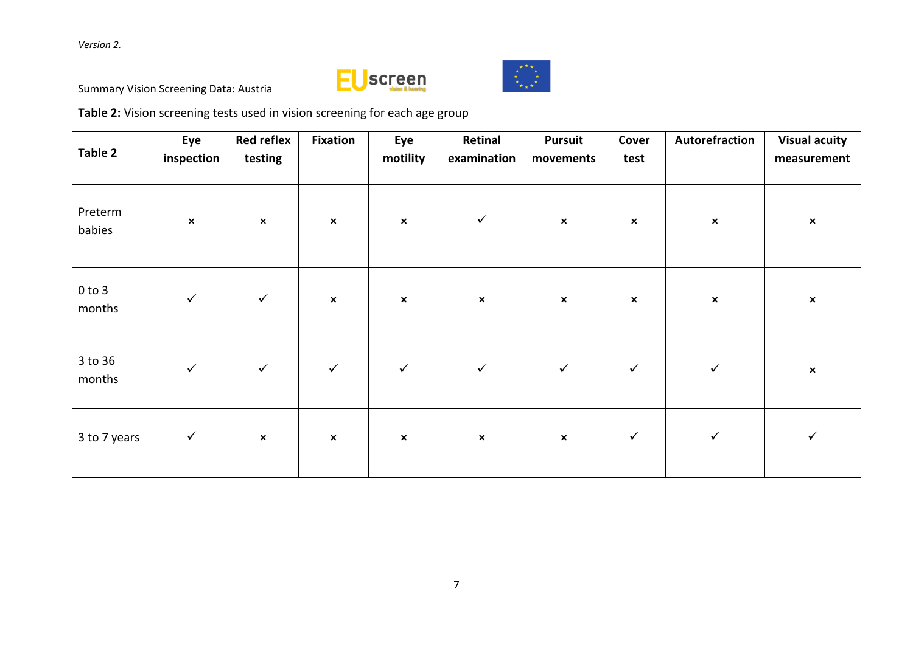*Version 2.*





Summary Vision Screening Data: Austria

**Table 2:** Vision screening tests used in vision screening for each age group

| Table 2              | Eye<br>inspection | <b>Red reflex</b><br>testing | <b>Fixation</b>           | Eye<br>motility | Retinal<br>examination | <b>Pursuit</b><br>movements | Cover<br>test             | Autorefraction            | <b>Visual acuity</b><br>measurement |
|----------------------|-------------------|------------------------------|---------------------------|-----------------|------------------------|-----------------------------|---------------------------|---------------------------|-------------------------------------|
| Preterm<br>babies    | $\pmb{\times}$    | $\pmb{\times}$               | $\boldsymbol{\mathsf{x}}$ | $\pmb{\times}$  | $\checkmark$           | $\pmb{\times}$              | $\boldsymbol{\mathsf{x}}$ | $\boldsymbol{\mathsf{x}}$ | $\pmb{\times}$                      |
| $0$ to $3$<br>months | $\checkmark$      | $\checkmark$                 | $\pmb{\times}$            | $\pmb{\times}$  | $\pmb{\times}$         | $\pmb{\times}$              | $\pmb{\times}$            | $\pmb{\times}$            | $\pmb{\times}$                      |
| 3 to 36<br>months    | $\checkmark$      | $\checkmark$                 | $\checkmark$              | $\checkmark$    | $\checkmark$           | $\checkmark$                | $\checkmark$              | $\checkmark$              | $\pmb{\times}$                      |
| 3 to 7 years         | $\checkmark$      | $\pmb{\times}$               | $\pmb{\times}$            | $\pmb{\times}$  | $\pmb{\times}$         | $\pmb{\times}$              | $\checkmark$              | $\checkmark$              | $\checkmark$                        |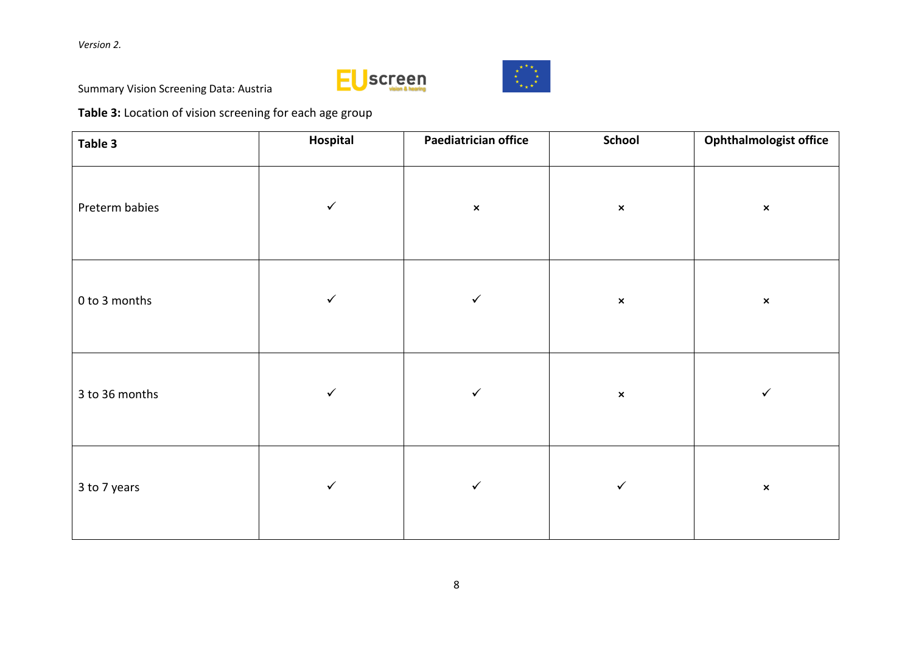*Version 2.*





Summary Vision Screening Data: Austria

**Table 3:** Location of vision screening for each age group

| Table 3        | Hospital     | Paediatrician office | School         | <b>Ophthalmologist office</b> |
|----------------|--------------|----------------------|----------------|-------------------------------|
| Preterm babies | $\checkmark$ | $\pmb{\times}$       | $\pmb{\times}$ | $\pmb{\times}$                |
| 0 to 3 months  | $\checkmark$ | $\checkmark$         | $\pmb{\times}$ | $\pmb{\times}$                |
| 3 to 36 months | $\checkmark$ | $\checkmark$         | $\pmb{\times}$ | $\checkmark$                  |
| 3 to 7 years   | $\checkmark$ | $\checkmark$         | $\checkmark$   | $\pmb{\times}$                |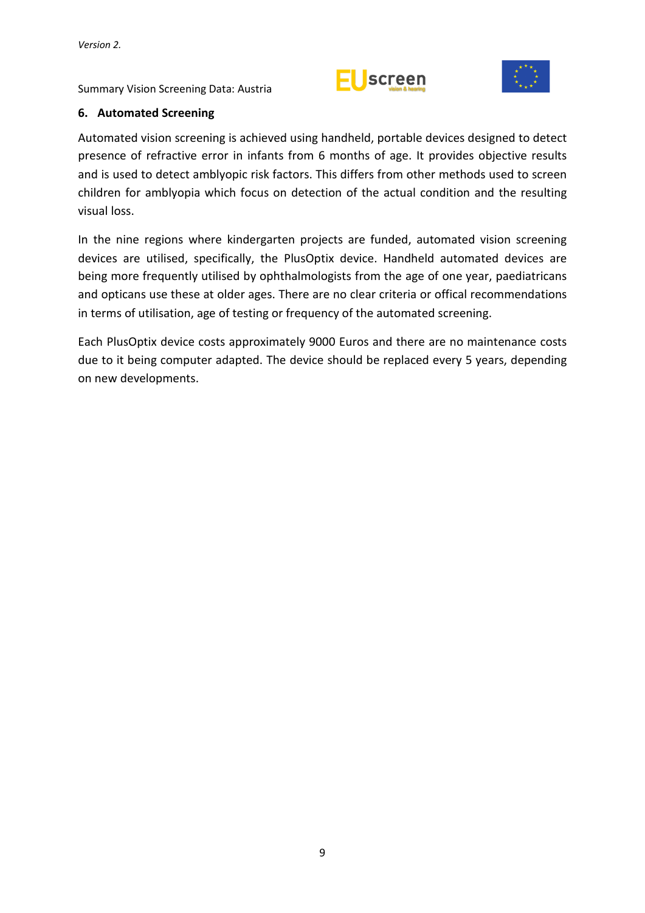



### <span id="page-14-0"></span>**6. Automated Screening**

Automated vision screening is achieved using handheld, portable devices designed to detect presence of refractive error in infants from 6 months of age. It provides objective results and is used to detect amblyopic risk factors. This differs from other methods used to screen children for amblyopia which focus on detection of the actual condition and the resulting visual loss.

In the nine regions where kindergarten projects are funded, automated vision screening devices are utilised, specifically, the PlusOptix device. Handheld automated devices are being more frequently utilised by ophthalmologists from the age of one year, paediatricans and opticans use these at older ages. There are no clear criteria or offical recommendations in terms of utilisation, age of testing or frequency of the automated screening.

Each PlusOptix device costs approximately 9000 Euros and there are no maintenance costs due to it being computer adapted. The device should be replaced every 5 years, depending on new developments.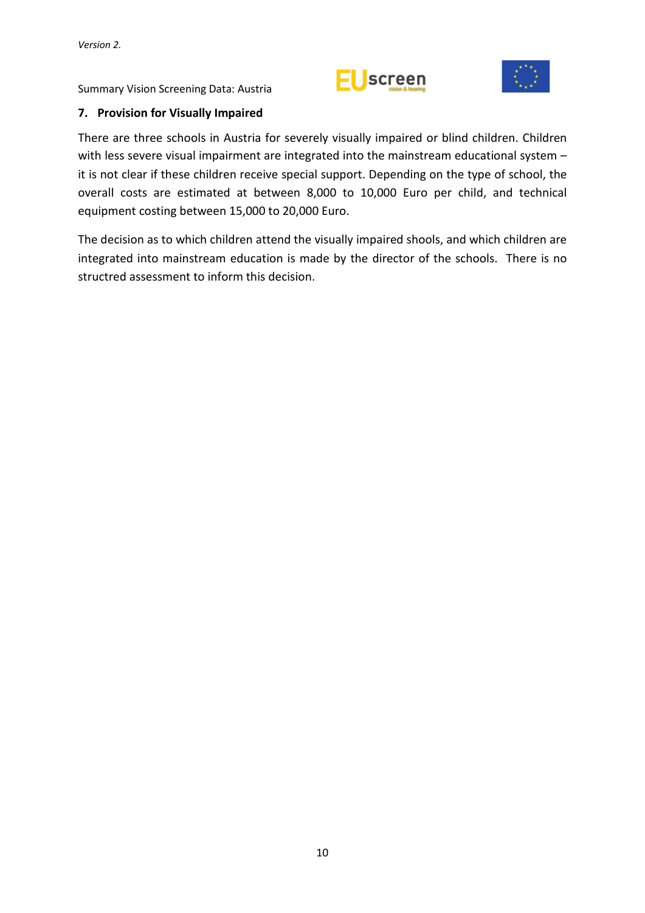



## <span id="page-15-0"></span>**7. Provision for Visually Impaired**

There are three schools in Austria for severely visually impaired or blind children. Children with less severe visual impairment are integrated into the mainstream educational system it is not clear if these children receive special support. Depending on the type of school, the overall costs are estimated at between 8,000 to 10,000 Euro per child, and technical equipment costing between 15,000 to 20,000 Euro.

The decision as to which children attend the visually impaired shools, and which children are integrated into mainstream education is made by the director of the schools. There is no structred assessment to inform this decision.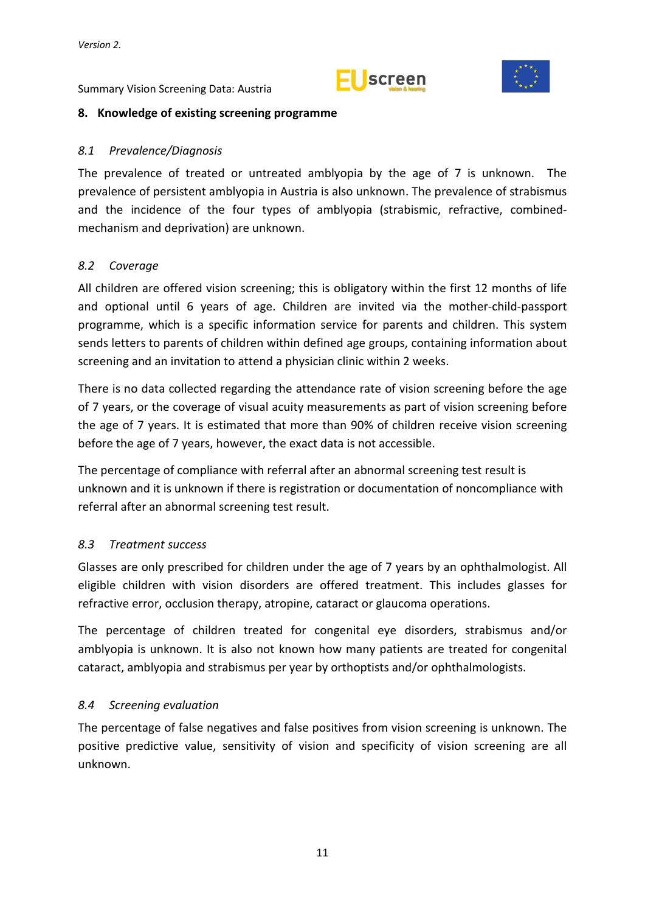



#### <span id="page-16-0"></span>**8. Knowledge of existing screening programme**

#### <span id="page-16-1"></span>*8.1 Prevalence/Diagnosis*

The prevalence of treated or untreated amblyopia by the age of 7 is unknown. The prevalence of persistent amblyopia in Austria is also unknown. The prevalence of strabismus and the incidence of the four types of amblyopia (strabismic, refractive, combinedmechanism and deprivation) are unknown.

#### <span id="page-16-2"></span>*8.2 Coverage*

All children are offered vision screening; this is obligatory within the first 12 months of life and optional until 6 years of age. Children are invited via the mother-child-passport programme, which is a specific information service for parents and children. This system sends letters to parents of children within defined age groups, containing information about screening and an invitation to attend a physician clinic within 2 weeks.

There is no data collected regarding the attendance rate of vision screening before the age of 7 years, or the coverage of visual acuity measurements as part of vision screening before the age of 7 years. It is estimated that more than 90% of children receive vision screening before the age of 7 years, however, the exact data is not accessible.

The percentage of compliance with referral after an abnormal screening test result is unknown and it is unknown if there is registration or documentation of noncompliance with referral after an abnormal screening test result.

## <span id="page-16-3"></span>*8.3 Treatment success*

Glasses are only prescribed for children under the age of 7 years by an ophthalmologist. All eligible children with vision disorders are offered treatment. This includes glasses for refractive error, occlusion therapy, atropine, cataract or glaucoma operations.

The percentage of children treated for congenital eye disorders, strabismus and/or amblyopia is unknown. It is also not known how many patients are treated for congenital cataract, amblyopia and strabismus per year by orthoptists and/or ophthalmologists.

#### <span id="page-16-4"></span>*8.4 Screening evaluation*

The percentage of false negatives and false positives from vision screening is unknown. The positive predictive value, sensitivity of vision and specificity of vision screening are all unknown.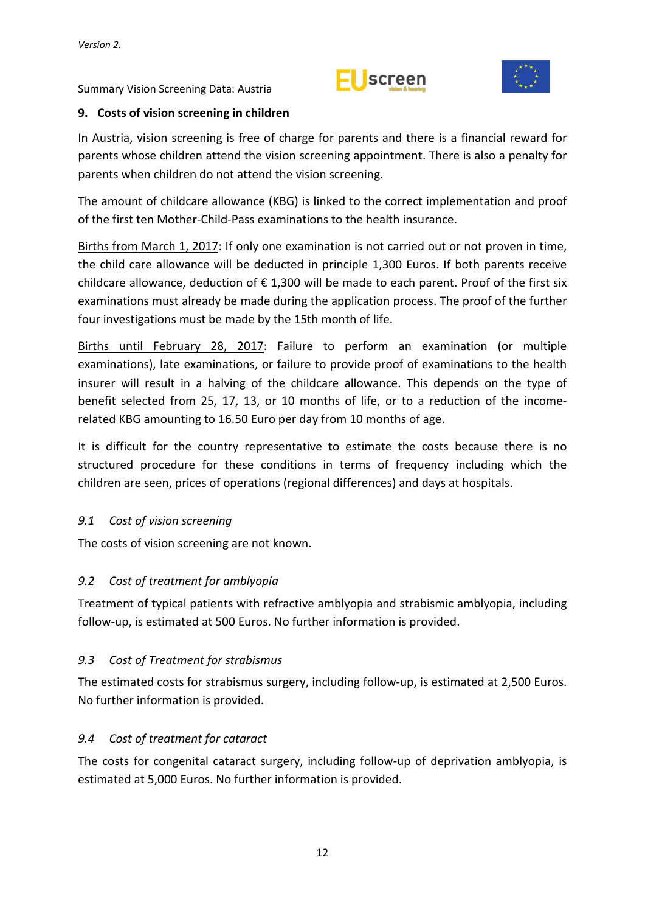



## <span id="page-17-0"></span>**9. Costs of vision screening in children**

In Austria, vision screening is free of charge for parents and there is a financial reward for parents whose children attend the vision screening appointment. There is also a penalty for parents when children do not attend the vision screening.

The amount of childcare allowance (KBG) is linked to the correct implementation and proof of the first ten Mother-Child-Pass examinations to the health insurance.

Births from March 1, 2017: If only one examination is not carried out or not proven in time, the child care allowance will be deducted in principle 1,300 Euros. If both parents receive childcare allowance, deduction of  $\epsilon$  1,300 will be made to each parent. Proof of the first six examinations must already be made during the application process. The proof of the further four investigations must be made by the 15th month of life.

Births until February 28, 2017: Failure to perform an examination (or multiple examinations), late examinations, or failure to provide proof of examinations to the health insurer will result in a halving of the childcare allowance. This depends on the type of benefit selected from 25, 17, 13, or 10 months of life, or to a reduction of the incomerelated KBG amounting to 16.50 Euro per day from 10 months of age.

It is difficult for the country representative to estimate the costs because there is no structured procedure for these conditions in terms of frequency including which the children are seen, prices of operations (regional differences) and days at hospitals.

## <span id="page-17-1"></span>*9.1 Cost of vision screening*

The costs of vision screening are not known.

# <span id="page-17-2"></span>*9.2 Cost of treatment for amblyopia*

Treatment of typical patients with refractive amblyopia and strabismic amblyopia, including follow-up, is estimated at 500 Euros. No further information is provided.

# <span id="page-17-3"></span>*9.3 Cost of Treatment for strabismus*

The estimated costs for strabismus surgery, including follow-up, is estimated at 2,500 Euros. No further information is provided.

## <span id="page-17-4"></span>*9.4 Cost of treatment for cataract*

The costs for congenital cataract surgery, including follow-up of deprivation amblyopia, is estimated at 5,000 Euros. No further information is provided.